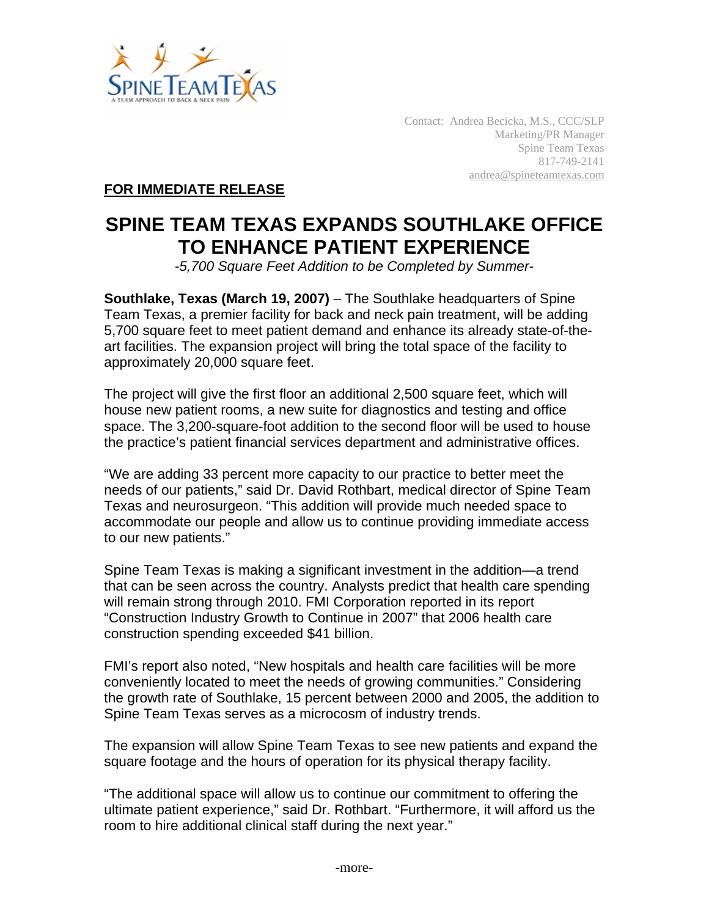

Contact: Andrea Becicka, M.S., CCC/SLP Marketing/PR Manager Spine Team Texas 817-749-2141 andrea@spineteamtexas.com

**FOR IMMEDIATE RELEASE**

## **SPINE TEAM TEXAS EXPANDS SOUTHLAKE OFFICE TO ENHANCE PATIENT EXPERIENCE**

*-5,700 Square Feet Addition to be Completed by Summer-*

**Southlake, Texas (March 19, 2007)** – The Southlake headquarters of Spine Team Texas, a premier facility for back and neck pain treatment, will be adding 5,700 square feet to meet patient demand and enhance its already state-of-theart facilities. The expansion project will bring the total space of the facility to approximately 20,000 square feet.

The project will give the first floor an additional 2,500 square feet, which will house new patient rooms, a new suite for diagnostics and testing and office space. The 3,200-square-foot addition to the second floor will be used to house the practice's patient financial services department and administrative offices.

"We are adding 33 percent more capacity to our practice to better meet the needs of our patients," said Dr. David Rothbart, medical director of Spine Team Texas and neurosurgeon. "This addition will provide much needed space to accommodate our people and allow us to continue providing immediate access to our new patients."

Spine Team Texas is making a significant investment in the addition—a trend that can be seen across the country. Analysts predict that health care spending will remain strong through 2010. FMI Corporation reported in its report "Construction Industry Growth to Continue in 2007" that 2006 health care construction spending exceeded \$41 billion.

FMI's report also noted, "New hospitals and health care facilities will be more conveniently located to meet the needs of growing communities." Considering the growth rate of Southlake, 15 percent between 2000 and 2005, the addition to Spine Team Texas serves as a microcosm of industry trends.

The expansion will allow Spine Team Texas to see new patients and expand the square footage and the hours of operation for its physical therapy facility.

"The additional space will allow us to continue our commitment to offering the ultimate patient experience," said Dr. Rothbart. "Furthermore, it will afford us the room to hire additional clinical staff during the next year."